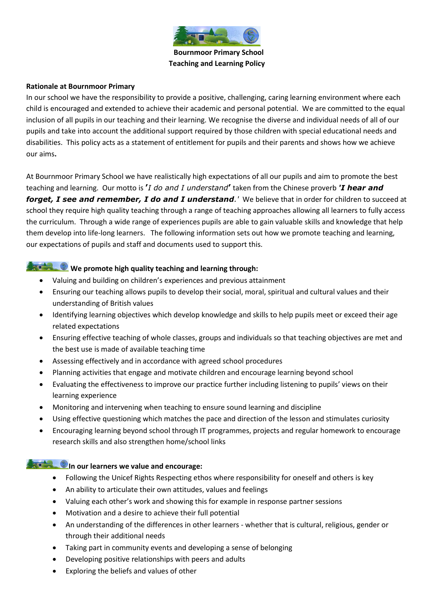

 **Bournmoor Primary School Teaching and Learning Policy**

#### **Rationale at Bournmoor Primary**

In our school we have the responsibility to provide a positive, challenging, caring learning environment where each child is encouraged and extended to achieve their academic and personal potential. We are committed to the equal inclusion of all pupils in our teaching and their learning. We recognise the diverse and individual needs of all of our pupils and take into account the additional support required by those children with special educational needs and disabilities. This policy acts as a statement of entitlement for pupils and their parents and shows how we achieve our aims**.** 

At Bournmoor Primary School we have realistically high expectations of all our pupils and aim to promote the best teaching and learning. Our motto is **'***I do and I understand***'** taken from the Chinese proverb *'I hear and forget, I see and remember, I do and I understand.'* We believe that in order for children to succeed at school they require high quality teaching through a range of teaching approaches allowing all learners to fully access the curriculum. Through a wide range of experiences pupils are able to gain valuable skills and knowledge that help them develop into life-long learners. The following information sets out how we promote teaching and learning, our expectations of pupils and staff and documents used to support this.

#### **We promote high quality teaching and learning through:**

- Valuing and building on children's experiences and previous attainment
- Ensuring our teaching allows pupils to develop their social, moral, spiritual and cultural values and their understanding of British values
- Identifying learning objectives which develop knowledge and skills to help pupils meet or exceed their age related expectations
- Ensuring effective teaching of whole classes, groups and individuals so that teaching objectives are met and the best use is made of available teaching time
- Assessing effectively and in accordance with agreed school procedures
- Planning activities that engage and motivate children and encourage learning beyond school
- Evaluating the effectiveness to improve our practice further including listening to pupils' views on their learning experience
- Monitoring and intervening when teaching to ensure sound learning and discipline
- Using effective questioning which matches the pace and direction of the lesson and stimulates curiosity
- Encouraging learning beyond school through IT programmes, projects and regular homework to encourage research skills and also strengthen home/school links

# **In our learners we value and encourage:**

- Following the Unicef Rights Respecting ethos where responsibility for oneself and others is key
- An ability to articulate their own attitudes, values and feelings
- Valuing each other's work and showing this for example in response partner sessions
- Motivation and a desire to achieve their full potential
- An understanding of the differences in other learners whether that is cultural, religious, gender or through their additional needs
- Taking part in community events and developing a sense of belonging
- Developing positive relationships with peers and adults
- Exploring the beliefs and values of other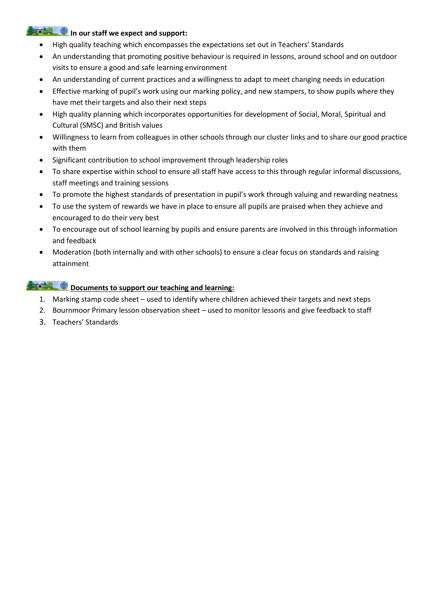### **In our staff we expect and support:**

- High quality teaching which encompasses the expectations set out in Teachers' Standards
- An understanding that promoting positive behaviour is required in lessons, around school and on outdoor visits to ensure a good and safe learning environment
- An understanding of current practices and a willingness to adapt to meet changing needs in education
- Effective marking of pupil's work using our marking policy, and new stampers, to show pupils where they have met their targets and also their next steps
- High quality planning which incorporates opportunities for development of Social, Moral, Spiritual and Cultural (SMSC) and British values
- Willingness to learn from colleagues in other schools through our cluster links and to share our good practice with them
- Significant contribution to school improvement through leadership roles
- To share expertise within school to ensure all staff have access to this through regular informal discussions, staff meetings and training sessions
- To promote the highest standards of presentation in pupil's work through valuing and rewarding neatness
- To use the system of rewards we have in place to ensure all pupils are praised when they achieve and encouraged to do their very best
- To encourage out of school learning by pupils and ensure parents are involved in this through information and feedback
- Moderation (both internally and with other schools) to ensure a clear focus on standards and raising attainment

## **Documents to support our teaching and learning:**

- 1. Marking stamp code sheet used to identify where children achieved their targets and next steps
- 2. Bournmoor Primary lesson observation sheet used to monitor lessons and give feedback to staff
- 3. Teachers' Standards